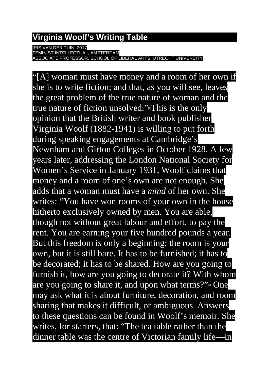## **Virginia Woolf's Writing Table**

RIS VAN DER TUIN, 2017

FEMINIST INTELLECTUAL, AMSTERDAM ASSOCIATE PROFESSOR, SCHOOL OF LIBERAL ARTS, UTRECHT UNIVERSITY

"[A] woman must have money and a room of her own if she is to write fiction; and that, as you will see, leaves the great problem of the true nature of woman and the true nature of fiction unsolved.["](https://quantumwords.persona.co/The-Table#_ftn1)<sup>n</sup>This is the only opinion that the British writer and book publisher Virginia Woolf (1882-1941) is willing to put forth during speaking engagements at Cambridge's Newnham and Girton Colleges in October 1928. A few years later, addressing the London National Society for Women's Service in January 1931, Woolf claims that money and a room of one's own are not enough. She adds that a woman must have a *mind* of her own. She writes: "You have won rooms of your own in the house hitherto exclusively owned by men. You are able, though not without great labour and effort, to pay the rent. You are earning your five hundred pounds a year. But this freedom is only a beginning; the room is your own, but it is still bare. It has to be furnished; it has to be decorated; it has to be shared. How are you going to furnish it, how are you going to decorate it? With whom are you going to share it, and upon what terms?["](https://quantumwords.persona.co/The-Table#_ftn2) $\approx$  One may ask what it is about furniture, decoration, and room sharing that makes it difficult, or ambiguous. Answers to these questions can be found in Woolf's memoir. She writes, for starters, that: "The tea table rather than the dinner table was the centre of Victorian family life—in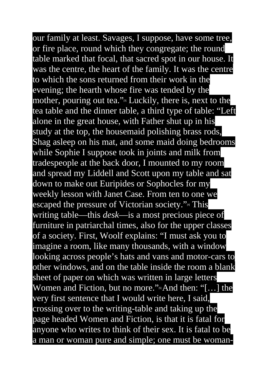our family at least. Savages, I suppose, have some tree, or fire place, round which they congregate; the round table marked that focal, that sacred spot in our house. It was the centre, the heart of the family. It was the centre to which the sons returned from their work in the evening; the hearth whose fire was tended by the mother, pouring out tea.["](https://quantumwords.persona.co/The-Table#_ftn3)<sup>[3]</sup> Luckily, there is, next to the tea table and the dinner table, a third type of table: "Left alone in the great house, with Father shut up in his study at the top, the housemaid polishing brass rods, Shag asleep on his mat, and some maid doing bedrooms while Sophie I suppose took in joints and milk from tradespeople at the back door, I mounted to my room and spread my Liddell and Scott upon my table and sat down to make out Euripides or Sophocles for my weekly lesson with Janet Case. From ten to one we escaped the pressure of Victorian society.["](https://quantumwords.persona.co/The-Table#_ftn4)<sup>4</sup> This writing table—this *desk*—is a most precious piece of furniture in patriarchal times, also for the upper classes of a society. First, Woolf explains: "I must ask you to imagine a room, like many thousands, with a window looking across people's hats and vans and motor-cars to other windows, and on the table inside the room a blank sheet of paper on which was written in large letters Women and Fiction, but no more.["](https://quantumwords.persona.co/The-Table#_ftn5) $\mathbb{S}$ And then: "[...] the very first sentence that I would write here, I said, crossing over to the writing-table and taking up the page headed Women and Fiction, is that it is fatal for anyone who writes to think of their sex. It is fatal to be a man or woman pure and simple; one must be woman